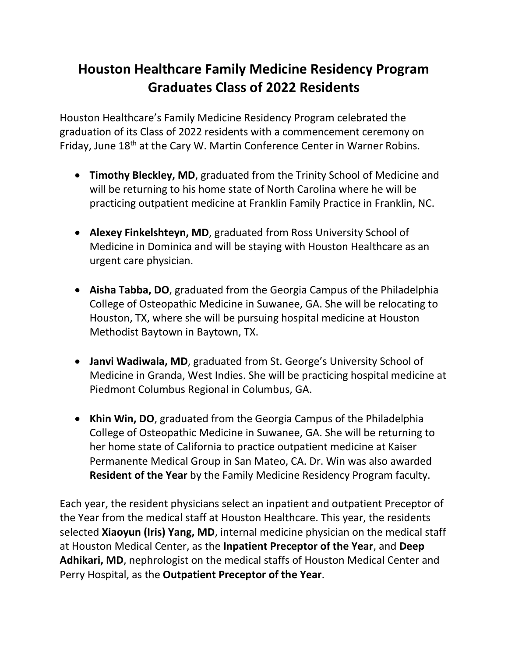## **Houston Healthcare Family Medicine Residency Program Graduates Class of 2022 Residents**

Houston Healthcare's Family Medicine Residency Program celebrated the graduation of its Class of 2022 residents with a commencement ceremony on Friday, June 18<sup>th</sup> at the Cary W. Martin Conference Center in Warner Robins.

- **Timothy Bleckley, MD**, graduated from the Trinity School of Medicine and will be returning to his home state of North Carolina where he will be practicing outpatient medicine at Franklin Family Practice in Franklin, NC.
- **Alexey Finkelshteyn, MD**, graduated from Ross University School of Medicine in Dominica and will be staying with Houston Healthcare as an urgent care physician.
- **Aisha Tabba, DO**, graduated from the Georgia Campus of the Philadelphia College of Osteopathic Medicine in Suwanee, GA. She will be relocating to Houston, TX, where she will be pursuing hospital medicine at Houston Methodist Baytown in Baytown, TX.
- **Janvi Wadiwala, MD**, graduated from St. George's University School of Medicine in Granda, West Indies. She will be practicing hospital medicine at Piedmont Columbus Regional in Columbus, GA.
- **Khin Win, DO**, graduated from the Georgia Campus of the Philadelphia College of Osteopathic Medicine in Suwanee, GA. She will be returning to her home state of California to practice outpatient medicine at Kaiser Permanente Medical Group in San Mateo, CA. Dr. Win was also awarded **Resident of the Year** by the Family Medicine Residency Program faculty.

Each year, the resident physicians select an inpatient and outpatient Preceptor of the Year from the medical staff at Houston Healthcare. This year, the residents selected **Xiaoyun (Iris) Yang, MD**, internal medicine physician on the medical staff at Houston Medical Center, as the **Inpatient Preceptor of the Year**, and **Deep Adhikari, MD**, nephrologist on the medical staffs of Houston Medical Center and Perry Hospital, as the **Outpatient Preceptor of the Year**.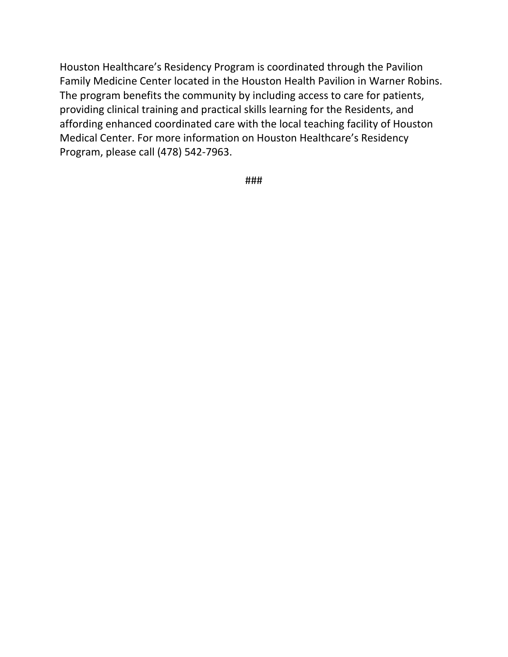Houston Healthcare's Residency Program is coordinated through the Pavilion Family Medicine Center located in the Houston Health Pavilion in Warner Robins. The program benefits the community by including access to care for patients, providing clinical training and practical skills learning for the Residents, and affording enhanced coordinated care with the local teaching facility of Houston Medical Center. For more information on Houston Healthcare's Residency Program, please call (478) 542-7963.

###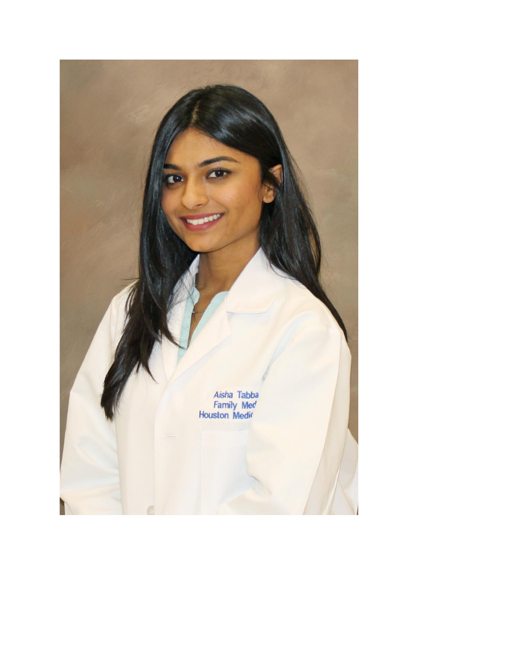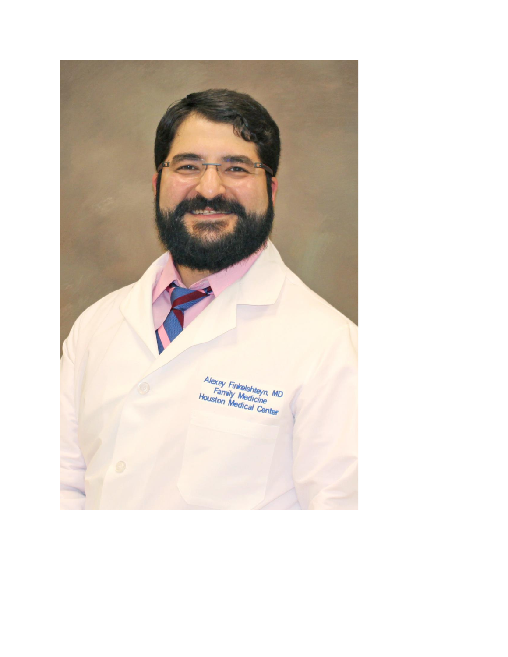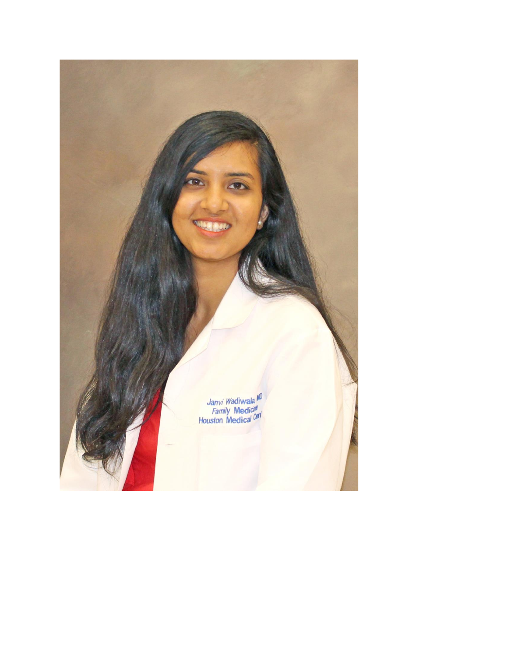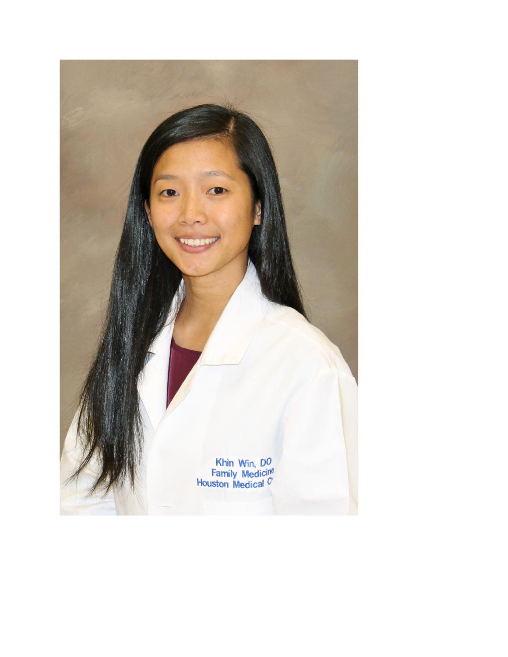